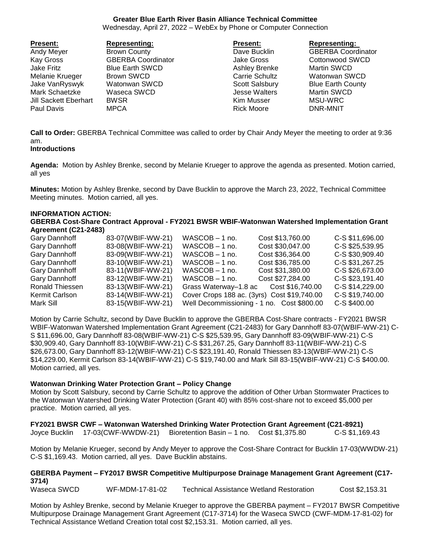# **Greater Blue Earth River Basin Alliance Technical Committee**

Wednesday, April 27, 2022 – WebEx by Phone or Computer Connection

| <b>Present:</b>       | <b>Representing:</b>      | <b>Present:</b>       | <b>Representing:</b>      |
|-----------------------|---------------------------|-----------------------|---------------------------|
| Andy Meyer            | <b>Brown County</b>       | Dave Bucklin          | <b>GBERBA Coordinator</b> |
| <b>Kay Gross</b>      | <b>GBERBA Coordinator</b> | Jake Gross            | Cottonwood SWCD           |
| Jake Fritz            | <b>Blue Earth SWCD</b>    | Ashley Brenke         | <b>Martin SWCD</b>        |
| Melanie Krueger       | Brown SWCD                | <b>Carrie Schultz</b> | Watonwan SWCD             |
| Jake VanRyswyk        | Watonwan SWCD             | Scott Salsbury        | <b>Blue Earth County</b>  |
| Mark Schaetzke        | Waseca SWCD               | <b>Jesse Walters</b>  | <b>Martin SWCD</b>        |
| Jill Sackett Eberhart | <b>BWSR</b>               | Kim Musser            | MSU-WRC                   |
| Paul Davis            | <b>MPCA</b>               | <b>Rick Moore</b>     | DNR-MNIT                  |

**Call to Order:** GBERBA Technical Committee was called to order by Chair Andy Meyer the meeting to order at 9:36 am.

#### **Introductions**

**Agenda:** Motion by Ashley Brenke, second by Melanie Krueger to approve the agenda as presented. Motion carried, all yes

**Minutes:** Motion by Ashley Brenke, second by Dave Bucklin to approve the March 23, 2022, Technical Committee Meeting minutes. Motion carried, all yes.

#### **INFORMATION ACTION:**

**GBERBA Cost-Share Contract Approval - FY2021 BWSR WBIF-Watonwan Watershed Implementation Grant Agreement (C21-2483)**

| Gary Dannhoff   | 83-07(WBIF-WW-21) | $WASCOB - 1$ no.      | Cost \$13,760.00                            | C-S \$11,696.00 |
|-----------------|-------------------|-----------------------|---------------------------------------------|-----------------|
| Gary Dannhoff   | 83-08(WBIF-WW-21) | $WASCOB - 1$ no.      | Cost \$30,047.00                            | C-S \$25,539.95 |
| Gary Dannhoff   | 83-09(WBIF-WW-21) | WASCOB - 1 no.        | Cost \$36,364.00                            | C-S \$30,909.40 |
| Gary Dannhoff   | 83-10(WBIF-WW-21) | WASCOB - 1 no.        | Cost \$36,785.00                            | C-S \$31,267.25 |
| Gary Dannhoff   | 83-11(WBIF-WW-21) | $WASCOB - 1$ no.      | Cost \$31,380.00                            | C-S \$26,673.00 |
| Gary Dannhoff   | 83-12(WBIF-WW-21) | WASCOB - 1 no.        | Cost \$27,284.00                            | C-S \$23,191.40 |
| Ronald Thiessen | 83-13(WBIF-WW-21) | Grass Waterway-1.8 ac | Cost \$16,740.00                            | C-S \$14,229.00 |
| Kermit Carlson  | 83-14(WBIF-WW-21) |                       | Cover Crops 188 ac. (3yrs) Cost \$19,740.00 | C-S \$19,740.00 |
| Mark Sill       | 83-15(WBIF-WW-21) |                       | Well Decommissioning - 1 no. Cost \$800.00  | C-S \$400.00    |
|                 |                   |                       |                                             |                 |

Motion by Carrie Schultz, second by Dave Bucklin to approve the GBERBA Cost-Share contracts - FY2021 BWSR WBIF-Watonwan Watershed Implementation Grant Agreement (C21-2483) for Gary Dannhoff 83-07(WBIF-WW-21) C-S \$11,696.00, Gary Dannhoff 83-08(WBIF-WW-21) C-S \$25,539.95, Gary Dannhoff 83-09(WBIF-WW-21) C-S \$30,909.40, Gary Dannhoff 83-10(WBIF-WW-21) C-S \$31,267.25, Gary Dannhoff 83-11(WBIF-WW-21) C-S \$26,673.00, Gary Dannhoff 83-12(WBIF-WW-21) C-S \$23,191.40, Ronald Thiessen 83-13(WBIF-WW-21) C-S \$14,229.00, Kermit Carlson 83-14(WBIF-WW-21) C-S \$19,740.00 and Mark Sill 83-15(WBIF-WW-21) C-S \$400.00. Motion carried, all yes.

#### **Watonwan Drinking Water Protection Grant – Policy Change**

Motion by Scott Salsbury, second by Carrie Schultz to approve the addition of Other Urban Stormwater Practices to the Watonwan Watershed Drinking Water Protection (Grant 40) with 85% cost-share not to exceed \$5,000 per practice. Motion carried, all yes.

#### **FY2021 BWSR CWF – Watonwan Watershed Drinking Water Protection Grant Agreement (C21-8921)** Joyce Bucklin 17-03(CWF-WWDW-21) Bioretention Basin – 1 no. Cost \$1,375.80 C-S \$1,169.43

Motion by Melanie Krueger, second by Andy Meyer to approve the Cost-Share Contract for Bucklin 17-03(WWDW-21) C-S \$1,169.43. Motion carried, all yes. Dave Bucklin abstains.

# **GBERBA Payment – FY2017 BWSR Competitive Multipurpose Drainage Management Grant Agreement (C17- 3714)**

Waseca SWCD WF-MDM-17-81-02 Technical Assistance Wetland Restoration Cost \$2,153.31

Motion by Ashley Brenke, second by Melanie Krueger to approve the GBERBA payment – FY2017 BWSR Competitive Multipurpose Drainage Management Grant Agreement (C17-3714) for the Waseca SWCD (CWF-MDM-17-81-02) for Technical Assistance Wetland Creation total cost \$2,153.31. Motion carried, all yes.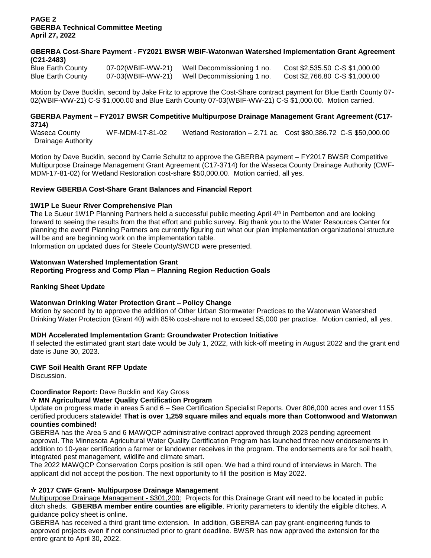## **PAGE 2 GBERBA Technical Committee Meeting April 27, 2022**

# **GBERBA Cost-Share Payment - FY2021 BWSR WBIF-Watonwan Watershed Implementation Grant Agreement (C21-2483)**

Blue Earth County 07-02(WBIF-WW-21) Well Decommissioning 1 no. Cost \$2,535.50 C-S \$1,000.00 Blue Earth County 07-03(WBIF-WW-21) Well Decommissioning 1 no. Cost \$2,766.80 C-S \$1,000.00

Motion by Dave Bucklin, second by Jake Fritz to approve the Cost-Share contract payment for Blue Earth County 07- 02(WBIF-WW-21) C-S \$1,000.00 and Blue Earth County 07-03(WBIF-WW-21) C-S \$1,000.00. Motion carried.

# **GBERBA Payment – FY2017 BWSR Competitive Multipurpose Drainage Management Grant Agreement (C17- 3714)**

Waseca County WF-MDM-17-81-02 Wetland Restoration – 2.71 ac. Cost \$80,386.72 C-S \$50,000.00 Drainage Authority

Motion by Dave Bucklin, second by Carrie Schultz to approve the GBERBA payment – FY2017 BWSR Competitive Multipurpose Drainage Management Grant Agreement (C17-3714) for the Waseca County Drainage Authority (CWF-MDM-17-81-02) for Wetland Restoration cost-share \$50,000.00. Motion carried, all yes.

# **Review GBERBA Cost-Share Grant Balances and Financial Report**

# **1W1P Le Sueur River Comprehensive Plan**

The Le Sueur 1W1P Planning Partners held a successful public meeting April 4<sup>th</sup> in Pemberton and are looking forward to seeing the results from the that effort and public survey. Big thank you to the Water Resources Center for planning the event! Planning Partners are currently figuring out what our plan implementation organizational structure will be and are beginning work on the implementation table.

Information on updated dues for Steele County/SWCD were presented.

# **Watonwan Watershed Implementation Grant**

# **Reporting Progress and Comp Plan – Planning Region Reduction Goals**

#### **Ranking Sheet Update**

#### **Watonwan Drinking Water Protection Grant – Policy Change**

Motion by second by to approve the addition of Other Urban Stormwater Practices to the Watonwan Watershed Drinking Water Protection (Grant 40) with 85% cost-share not to exceed \$5,000 per practice. Motion carried, all yes.

#### **MDH Accelerated Implementation Grant: Groundwater Protection Initiative**

If selected the estimated grant start date would be July 1, 2022, with kick-off meeting in August 2022 and the grant end date is June 30, 2023.

#### **CWF Soil Health Grant RFP Update**

Discussion.

# **Coordinator Report:** Dave Bucklin and Kay Gross

#### **MN Agricultural Water Quality Certification Program**

Update on progress made in areas 5 and 6 – See Certification Specialist Reports. Over 806,000 acres and over 1155 certified producers statewide! **That is over 1,259 square miles and equals more than Cottonwood and Watonwan counties combined!**

GBERBA has the Area 5 and 6 MAWQCP administrative contract approved through 2023 pending agreement approval. The Minnesota Agricultural Water Quality Certification Program has launched three new endorsements in addition to 10-year certification a farmer or landowner receives in the program. The endorsements are for soil health, integrated pest management, wildlife and climate smart.

The 2022 MAWQCP Conservation Corps position is still open. We had a third round of interviews in March. The applicant did not accept the position. The next opportunity to fill the position is May 2022.

# **2017 CWF Grant- Multipurpose Drainage Management**

Multipurpose Drainage Management **-** \$301,200: Projects for this Drainage Grant will need to be located in public ditch sheds. **GBERBA member entire counties are eligible**. Priority parameters to identify the eligible ditches. A guidance policy sheet is online.

GBERBA has received a third grant time extension. In addition, GBERBA can pay grant-engineering funds to approved projects even if not constructed prior to grant deadline. BWSR has now approved the extension for the entire grant to April 30, 2022.